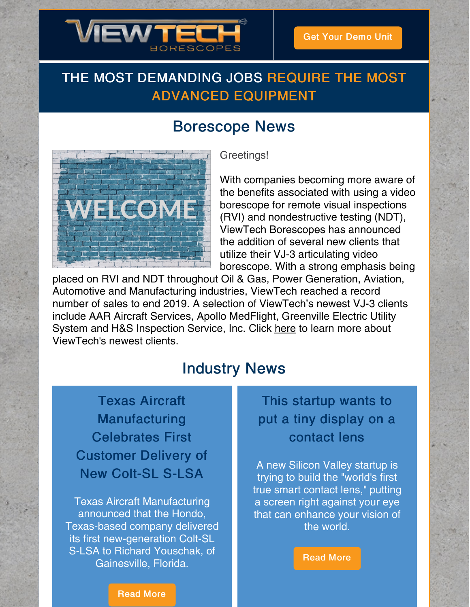# THE MOST DEMANDING JOBS REQUIRE THE MOST ADVANCED EQUIPMENT

## Borescope News



#### Greetings!

With companies becoming more aware of the benefits associated with using a video borescope for remote visual inspections (RVI) and nondestructive testing (NDT), ViewTech Borescopes has announced the addition of several new clients that utilize their VJ-3 articulating video borescope. With a strong emphasis being

placed on RVI and NDT throughout Oil & Gas, Power Generation, Aviation, Automotive and Manufacturing industries, ViewTech reached a record number of sales to end 2019. A selection of ViewTech's newest VJ-3 clients include AAR Aircraft Services, Apollo MedFlight, Greenville Electric Utility System and H&S Inspection Service, Inc. Click here to learn more about ViewTech's newest clients.

### Industry News

Texas Aircraft Manufacturing Celebrates First Customer Delivery of New Colt-SL S-LSA

Texas Aircraft Manufacturing announced that the Hondo, Texas-based company delivered its first new-generation Colt-SL S-LSA to Richard Youschak, of Gainesville, Florida.

# This startup wants to put a tiny display on a contact lens

A new Silicon Valley startup is trying to build the "world's first true smart contact lens," putting a screen right against your eye that can enhance your vision of the world.

Read More

#### Read More